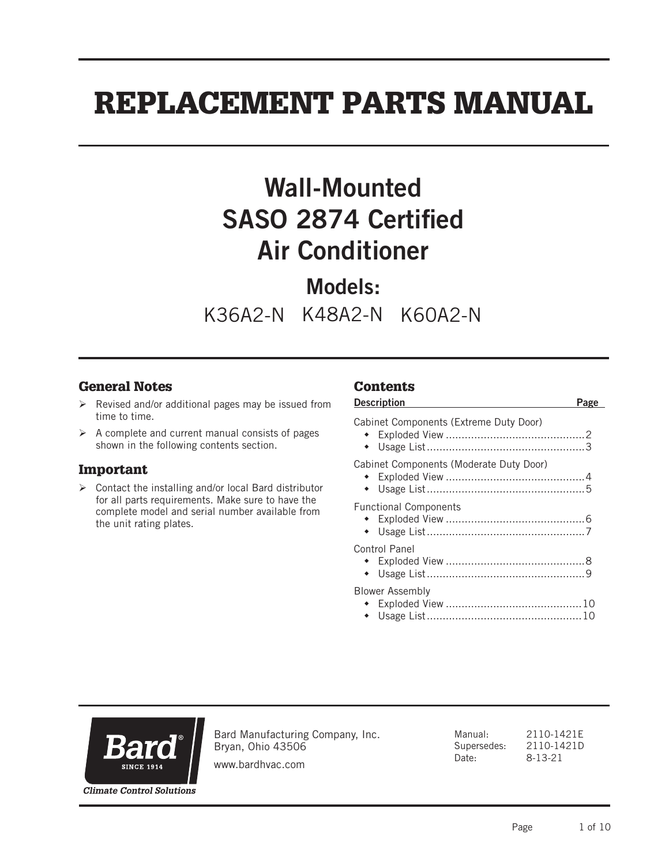# REPLACEMENT PARTS MANUAL

# Wall-Mounted SASO 2874 Certified Air Conditioner

# Models:

K36A2-N K48A2-N K60A2-N

#### General Notes

- $\triangleright$  Revised and/or additional pages may be issued from time to time.
- $\triangleright$  A complete and current manual consists of pages shown in the following contents section.

#### Important

 $\triangleright$  Contact the installing and/or local Bard distributor for all parts requirements. Make sure to have the complete model and serial number available from the unit rating plates.

#### **Contents**

| <b>Description</b>                      | Page |
|-----------------------------------------|------|
| Cabinet Components (Extreme Duty Door)  |      |
| Cabinet Components (Moderate Duty Door) |      |
| <b>Functional Components</b>            |      |
| Control Panel                           |      |
| <b>Blower Assembly</b>                  |      |



Bard Manufacturing Company, Inc. Bryan, Ohio 43506

Manual: 2110-1421E Supersedes: 2110-1421D<br>Date: 8-13-21 8-13-21

www.bardhvac.com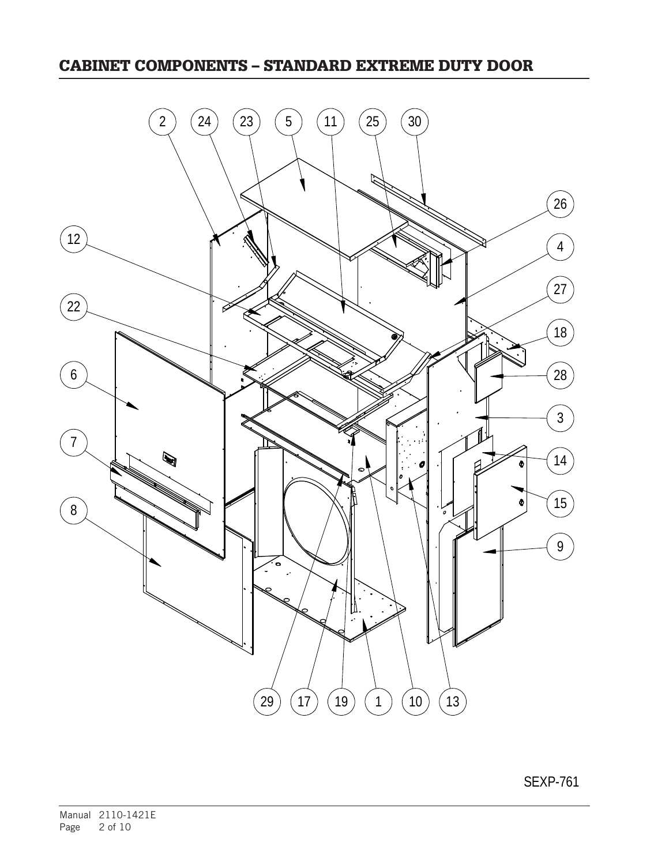#### CABINET COMPONENTS – STANDARD EXTREME DUTY DOOR



SEXP-761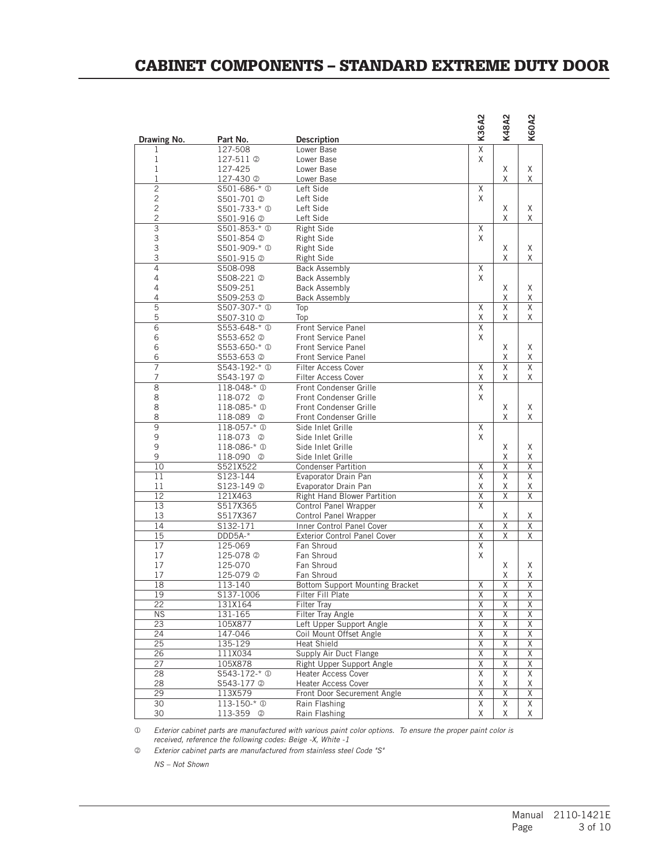#### CABINET COMPONENTS – STANDARD EXTREME DUTY DOOR

| Drawing No.     | Part No.                  | <b>Description</b>                  | K36A2                   | K48A2                   | K60A2                   |
|-----------------|---------------------------|-------------------------------------|-------------------------|-------------------------|-------------------------|
| 1               | 127-508                   | Lower Base                          | $\overline{\mathsf{x}}$ |                         |                         |
| 1               | 127-511 2                 | Lower Base                          | X                       |                         |                         |
| $\mathbf{1}$    | 127-425                   | Lower Base                          |                         | Χ                       | Χ                       |
| $\mathbf 1$     | 127-430 <sup>2</sup>      | Lower Base                          |                         | X                       | X                       |
| $\overline{2}$  | \$501-686-* 0             | Left Side                           | X                       |                         |                         |
| $\sqrt{2}$      | S501-701 2                | Left Side                           | X                       |                         |                         |
| $\overline{c}$  | S501-733-* <sup>0</sup>   | Left Side                           |                         | Χ                       | Χ                       |
| $\overline{c}$  | S501-916 2                | Left Side                           |                         | X                       | X                       |
| $\overline{3}$  | \$501-853-* <sup>0</sup>  | <b>Right Side</b>                   | Χ                       |                         |                         |
| 3               | S501-854 2                | <b>Right Side</b>                   | X                       |                         |                         |
| 3               | S501-909-* <sup>0</sup>   | Right Side                          |                         | Χ                       | Χ                       |
| 3               | S501-915 2                | <b>Right Side</b>                   |                         | X                       | Χ                       |
| $\overline{4}$  | S508-098                  | <b>Back Assembly</b>                | X                       |                         |                         |
| $\overline{4}$  | S508-221 2                | <b>Back Assembly</b>                | X                       |                         |                         |
| 4               | S509-251                  | <b>Back Assembly</b>                |                         | X                       | Χ                       |
| 4               | S509-253 2                | <b>Back Assembly</b>                |                         | Χ                       | Χ                       |
| $\overline{5}$  | S507-307-* <sup>①</sup>   | Top                                 | X                       | $\overline{X}$          | $\overline{X}$          |
| 5               | S507-310 2                | Top                                 | Χ                       | X                       | X                       |
| $\overline{6}$  | \$553-648-* <sup>0</sup>  | Front Service Panel                 | $\overline{\mathsf{x}}$ |                         |                         |
| 6               | S553-652 2                | <b>Front Service Panel</b>          | X                       |                         |                         |
| 6               | \$553-650-* <sup>①</sup>  | <b>Front Service Panel</b>          |                         | Χ                       | Χ                       |
| 6               | S553-653 2                | <b>Front Service Panel</b>          |                         | X                       | Χ                       |
| $\overline{7}$  | \$543-192-* <sup>0</sup>  | <b>Filter Access Cover</b>          | $\overline{\mathsf{X}}$ | Χ                       | $\overline{\mathsf{x}}$ |
| $\overline{7}$  | S543-197 2                | <b>Filter Access Cover</b>          | Χ                       | X                       | X                       |
| $\bf 8$         | 118-048-* <sup>0</sup>    | Front Condenser Grille              | $\overline{\mathsf{X}}$ |                         |                         |
| 8               | 118-072<br>$\circledcirc$ | Front Condenser Grille              | X                       |                         |                         |
| 8               | 118-085-* <sup>0</sup>    | Front Condenser Grille              |                         | X                       | Χ                       |
| 8               | 118-089 2                 | Front Condenser Grille              |                         | X                       | X                       |
| $\overline{9}$  | 118-057-* <sup>0</sup>    | Side Inlet Grille                   | Χ                       |                         |                         |
| 9               | 118-073<br>$\circled{2}$  | Side Inlet Grille                   | X                       |                         |                         |
| 9               | 118-086-* <sup>0</sup>    | Side Inlet Grille                   |                         | X                       | Χ                       |
| 9               | 118-090 <sup>2</sup>      | Side Inlet Grille                   |                         | Χ                       | Χ                       |
| 10              | S521X522                  | <b>Condenser Partition</b>          | Χ                       | X                       | $\overline{X}$          |
| 11              | S123-144                  | Evaporator Drain Pan                | X                       | X                       | $\overline{X}$          |
| 11              | S123-149 2                | Evaporator Drain Pan                | Χ                       | Χ                       | Χ                       |
| 12              | 121X463                   | <b>Right Hand Blower Partition</b>  | $\overline{X}$          | Χ                       | X                       |
| 13              | S517X365                  | Control Panel Wrapper               | X                       |                         |                         |
| 13              | S517X367                  | Control Panel Wrapper               |                         | Χ                       | Χ                       |
| 14              | S132-171                  | Inner Control Panel Cover           | $\overline{\mathsf{x}}$ | X                       | $\overline{X}$          |
| 15              | DDD5A-*                   | <b>Exterior Control Panel Cover</b> | $\overline{X}$          | X                       | Χ                       |
| 17              | 125-069                   | Fan Shroud                          | $\overline{X}$          |                         |                         |
| 17              | 125-078 2                 | Fan Shroud                          | X                       |                         |                         |
| 17              | 125-070                   | Fan Shroud                          |                         | X                       | Χ                       |
| 17              | 125-079 2                 | Fan Shroud                          |                         | Χ                       | Χ                       |
| $\overline{18}$ | $113 - 140$               | Bottom Support Mounting Bracket     | $\overline{\mathsf{X}}$ | $\overline{X}$          | $\overline{\mathsf{X}}$ |
| 19              | S137-1006                 | Filter Fill Plate                   | $\overline{\mathsf{X}}$ | $\overline{\mathsf{X}}$ | $\overline{\mathsf{x}}$ |
| $\overline{22}$ | 131X164                   | Filter Tray                         | $\overline{\mathsf{x}}$ | $\overline{X}$          | $\overline{\mathsf{x}}$ |
| <b>NS</b>       | 131-165                   | <b>Filter Tray Angle</b>            | $\overline{\mathsf{X}}$ | $\overline{\mathsf{X}}$ | $\overline{\mathsf{X}}$ |
| $\overline{23}$ | 105X877                   | Left Upper Support Angle            | $\overline{\mathsf{X}}$ | $\overline{\mathsf{X}}$ | Χ                       |
| 24              | 147-046                   | Coil Mount Offset Angle             | $\overline{\mathsf{x}}$ | $\overline{\mathsf{X}}$ | $\overline{\mathsf{X}}$ |
| 25              | 135-129                   | <b>Heat Shield</b>                  | $\overline{\mathsf{X}}$ | $\overline{\mathsf{X}}$ | $\overline{X}$          |
| 26              | 111X034                   | Supply Air Duct Flange              | $\overline{\mathsf{x}}$ | $\overline{\mathsf{X}}$ | Χ                       |
| 27              | 105X878                   | Right Upper Support Angle           | Χ                       | $\overline{X}$          | $\mathsf X$             |
| 28              | \$543-172-* <sup>1</sup>  | <b>Heater Access Cover</b>          | $\overline{\mathsf{X}}$ | $\overline{\mathsf{X}}$ | $\overline{\mathsf{X}}$ |
| 28              | S543-177 2                | <b>Heater Access Cover</b>          | Χ                       | Χ                       | Χ                       |
| 29              | 113X579                   | Front Door Securement Angle         | $\overline{\mathsf{X}}$ | $\overline{\mathsf{X}}$ | $\mathsf X$             |
| 30              | $113 - 150 - * ①$         | Rain Flashing                       | Χ                       | Χ                       | Χ                       |
| 30              | 113-359 2                 | Rain Flashing                       | Χ                       | Χ                       | X                       |

 *Exterior cabinet parts are manufactured with various paint color options. To ensure the proper paint color is received, reference the following codes: Beige -X, White -1*

 *Exterior cabinet parts are manufactured from stainless steel Code "S"*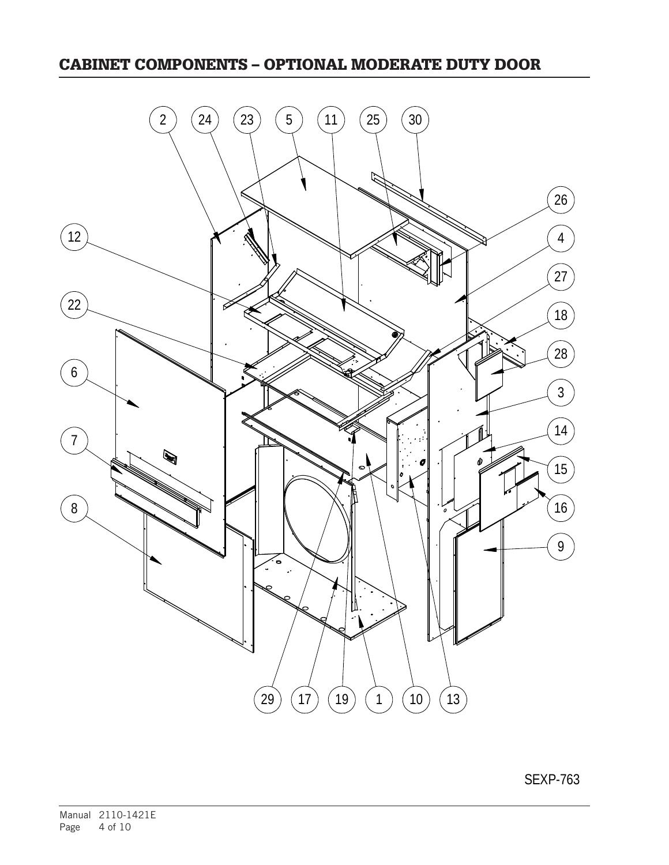### CABINET COMPONENTS – OPTIONAL MODERATE DUTY DOOR

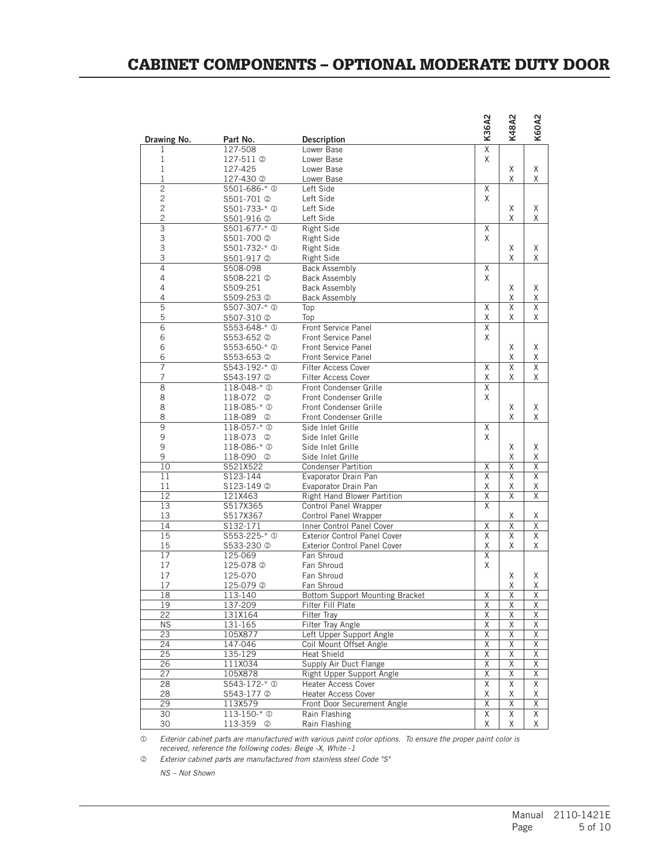### CABINET COMPONENTS – OPTIONAL MODERATE DUTY DOOR

|                   |                           |                                                 | K36A2                   | K48A2                   | <b>K60A2</b>                 |
|-------------------|---------------------------|-------------------------------------------------|-------------------------|-------------------------|------------------------------|
| Drawing No.       | Part No.                  | <b>Description</b>                              |                         |                         |                              |
| 1                 | 127-508                   | Lower Base                                      | $\overline{\mathsf{x}}$ |                         |                              |
| 1<br>$\mathbf{1}$ | 127-511 <sup>(2)</sup>    | Lower Base                                      | X                       |                         |                              |
| $\mathbf 1$       | 127-425<br>127-430 2      | Lower Base<br>Lower Base                        |                         | Χ<br>X                  | Χ<br>Χ                       |
| $\overline{2}$    | S501-686-* <sup>①</sup>   | Left Side                                       | X                       |                         |                              |
| $\overline{c}$    | S501-701 2                | Left Side                                       | X                       |                         |                              |
| $\overline{c}$    | \$501-733-* <sup>①</sup>  | Left Side                                       |                         | Χ                       | X                            |
| $\mathbf{2}$      | S501-916 2                | Left Side                                       |                         | X                       | X                            |
| $\overline{3}$    | S501-677-* <sup>①</sup>   | Right Side                                      | Χ                       |                         |                              |
| 3                 | S501-700 2                | Right Side                                      | X                       |                         |                              |
| 3                 | \$501-732-* <sup>0</sup>  | <b>Right Side</b>                               |                         | Χ                       | Χ                            |
| 3                 | S501-917 2                | <b>Right Side</b>                               |                         | Χ                       | X                            |
| $\overline{4}$    | S508-098                  | <b>Back Assembly</b>                            | Χ                       |                         |                              |
| 4                 | S508-221 2                | <b>Back Assembly</b>                            | X                       |                         |                              |
| 4                 | S509-251                  | <b>Back Assembly</b>                            |                         | Χ                       | Χ                            |
| $\overline{4}$    | S509-253 2                | <b>Back Assembly</b>                            |                         | Χ                       | Χ                            |
| $\overline{5}$    | S507-307-* <sup>①</sup>   | Top                                             | Χ                       | X                       | X                            |
| 5                 | S507-310 2                | Top                                             | Χ                       | Χ                       | Χ                            |
| $\overline{6}$    | \$553-648-* <sup>0</sup>  | <b>Front Service Panel</b>                      | $\overline{\mathsf{x}}$ |                         |                              |
| 6                 | S553-652 2                | <b>Front Service Panel</b>                      | X                       |                         |                              |
| 6                 | \$553-650-* <sup>0</sup>  | <b>Front Service Panel</b>                      |                         | Χ                       | X                            |
| 6                 | S553-653 2                | <b>Front Service Panel</b>                      |                         | Χ                       | Χ                            |
| $\overline{7}$    | \$543-192-* <sup>0</sup>  | <b>Filter Access Cover</b>                      | X                       | X                       | X                            |
| $\overline{7}$    | S543-197 2                | <b>Filter Access Cover</b>                      | X                       | Χ                       | X                            |
| $\bf 8$           | 118-048-* <sup>0</sup>    | Front Condenser Grille                          | Χ                       |                         |                              |
| 8                 | 118-072<br>- ②            | Front Condenser Grille                          | X                       |                         |                              |
| 8                 | 118-085-* <sup>0</sup>    | Front Condenser Grille                          |                         | Χ                       | Χ                            |
| 8                 | 118-089 2                 | Front Condenser Grille                          |                         | X                       | Χ                            |
| $\overline{9}$    | 118-057-* <sup>0</sup>    | Side Inlet Grille                               | X                       |                         |                              |
| 9                 | 118-073<br>$^{\circledR}$ | Side Inlet Grille                               | X                       |                         |                              |
| 9<br>9            | 118-086-* <sup>0</sup>    | Side Inlet Grille                               |                         | Χ                       | X                            |
| 10                | 118-090 2<br>S521X522     | Side Inlet Grille<br><b>Condenser Partition</b> | Χ                       | Χ<br>Χ                  | Χ<br>$\overline{\mathsf{X}}$ |
| 11                | S123-144                  | Evaporator Drain Pan                            | X                       | X                       | X                            |
| 11                | S123-149 ©                | Evaporator Drain Pan                            | Χ                       | X                       | Χ                            |
| 12                | 121X463                   | <b>Right Hand Blower Partition</b>              | $\overline{\mathsf{X}}$ | X                       | $\overline{\mathsf{x}}$      |
| 13                | S517X365                  | Control Panel Wrapper                           | $\overline{X}$          |                         |                              |
| 13                | S517X367                  | Control Panel Wrapper                           |                         | Χ                       | Χ                            |
| 14                | S132-171                  | Inner Control Panel Cover                       | $\overline{\mathsf{X}}$ | X                       | $\overline{\mathsf{X}}$      |
| 15                | \$553-225-* 0             | <b>Exterior Control Panel Cover</b>             | Χ                       | Χ                       | X                            |
| 15                | S533-230 2                | <b>Exterior Control Panel Cover</b>             | Χ                       | Χ                       | X                            |
| 17                | 125-069                   | Fan Shroud                                      | Χ                       |                         |                              |
| 17                | 125-078 2                 | Fan Shroud                                      | X                       |                         |                              |
| 17                | 125-070                   | Fan Shroud                                      |                         | Χ                       | Χ                            |
| 17                | 125-079 2                 | Fan Shroud                                      |                         | Χ                       | χ                            |
| 18                | 113-140                   | Bottom Support Mounting Bracket                 | Χ                       | Χ                       | $\overline{\mathsf{x}}$      |
| 19                | 137-209                   | Filter Fill Plate                               | $\overline{\mathsf{x}}$ | $\overline{\mathsf{x}}$ | $\overline{X}$               |
| 22                | 131X164                   | <b>Filter Tray</b>                              | $\overline{\mathsf{x}}$ | Χ                       | Χ                            |
| <b>NS</b>         | 131-165                   | <b>Filter Tray Angle</b>                        | Χ                       | Χ                       | X                            |
| $\overline{23}$   | 105X877                   | Left Upper Support Angle                        | $\overline{\mathsf{x}}$ | Χ                       | Χ                            |
| 24                | 147-046                   | Coil Mount Offset Angle                         | Χ                       | Χ                       | $\overline{\mathsf{X}}$      |
| 25                | 135-129                   | Heat Shield                                     | Χ                       | Χ                       | $\overline{\mathsf{X}}$      |
| 26                | 111X034                   | Supply Air Duct Flange                          | Χ                       | Χ                       | $\overline{\mathsf{X}}$      |
| 27                | 105X878                   | Right Upper Support Angle                       | $\overline{\mathsf{x}}$ | Χ                       | Χ                            |
| 28                | $5543 - 172 - * 0$        | Heater Access Cover                             | Χ                       | Χ                       | Χ                            |
| 28                | S543-177 2                | <b>Heater Access Cover</b>                      | Χ                       | Χ                       | Χ                            |
| 29                | 113X579                   | Front Door Securement Angle                     | Χ                       | Χ                       | Χ                            |
| 30                | 113-150-* <sup>0</sup>    | Rain Flashing                                   | Χ                       | Χ                       | X                            |
| 30                | 113-359 2                 | Rain Flashing                                   | Χ                       | Χ                       | X                            |

 *Exterior cabinet parts are manufactured with various paint color options. To ensure the proper paint color is received, reference the following codes: Beige -X, White -1*

 *Exterior cabinet parts are manufactured from stainless steel Code "S"*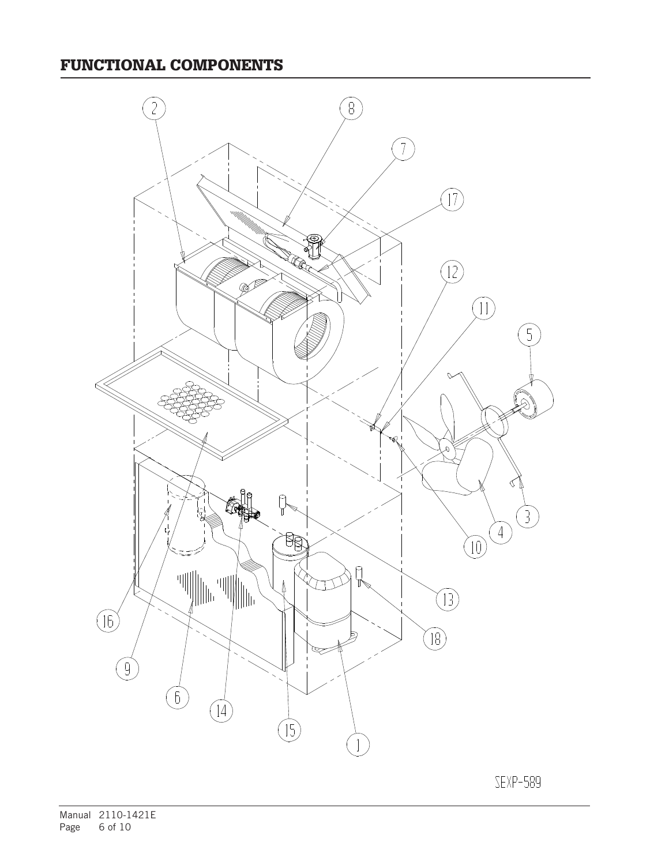

SEXP-589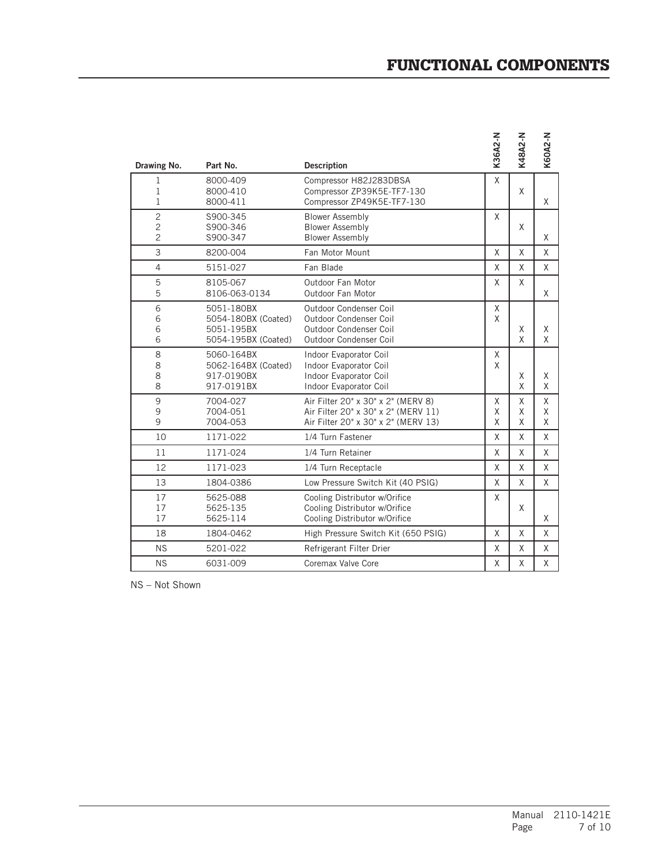### FUNCTIONAL COMPONENTS

| Drawing No.                                        | Part No.                                                               | <b>Description</b>                                                                                               | K36A2-N     | <b>K48A2-N</b> | <b>K60A2-N</b> |
|----------------------------------------------------|------------------------------------------------------------------------|------------------------------------------------------------------------------------------------------------------|-------------|----------------|----------------|
| $\mathbf 1$<br>1<br>1                              | 8000-409<br>8000-410<br>8000-411                                       | Compressor H82J283DBSA<br>Compressor ZP39K5E-TF7-130<br>Compressor ZP49K5E-TF7-130                               | X           | X              | X              |
| $\overline{c}$<br>$\overline{c}$<br>$\overline{c}$ | S900-345<br>S900-346<br>S900-347                                       | <b>Blower Assembly</b><br><b>Blower Assembly</b><br><b>Blower Assembly</b>                                       | X           | X              | X              |
| 3                                                  | 8200-004                                                               | Fan Motor Mount                                                                                                  | X           | X              | X              |
| $\overline{4}$                                     | 5151-027                                                               | Fan Blade                                                                                                        | X           | X              | X              |
| 5<br>5                                             | 8105-067<br>8106-063-0134                                              | Outdoor Fan Motor<br>Outdoor Fan Motor                                                                           | X           | X              | X              |
| 6<br>6<br>6<br>6                                   | 5051-180BX<br>5054-180BX (Coated)<br>5051-195BX<br>5054-195BX (Coated) | Outdoor Condenser Coil<br>Outdoor Condenser Coil<br>Outdoor Condenser Coil<br>Outdoor Condenser Coil             | X<br>X      | X<br>X         | X<br>X         |
| 8<br>8<br>8<br>8                                   | 5060-164BX<br>5062-164BX (Coated)<br>917-0190BX<br>917-0191BX          | Indoor Evaporator Coil<br>Indoor Evaporator Coil<br>Indoor Evaporator Coil<br>Indoor Evaporator Coil             | X<br>X      | X<br>X         | X<br>X         |
| 9<br>$\mathsf 9$<br>9                              | 7004-027<br>7004-051<br>7004-053                                       | Air Filter 20" x 30" x 2" (MERV 8)<br>Air Filter 20" x 30" x 2" (MERV 11)<br>Air Filter 20" x 30" x 2" (MERV 13) | X<br>X<br>X | X<br>X<br>X    | X<br>X<br>X    |
| 10                                                 | 1171-022                                                               | 1/4 Turn Fastener                                                                                                | X           | X              | X              |
| 11                                                 | 1171-024                                                               | 1/4 Turn Retainer                                                                                                | X           | X              | X              |
| 12                                                 | 1171-023                                                               | 1/4 Turn Receptacle                                                                                              | X           | X              | X              |
| 13                                                 | 1804-0386                                                              | Low Pressure Switch Kit (40 PSIG)                                                                                | X           | X              | X              |
| 17<br>17<br>17                                     | 5625-088<br>5625-135<br>5625-114                                       | Cooling Distributor w/Orifice<br>Cooling Distributor w/Orifice<br>Cooling Distributor w/Orifice                  | X           | X              | X              |
| 18                                                 | 1804-0462                                                              | High Pressure Switch Kit (650 PSIG)                                                                              | X           | X              | X              |
| <b>NS</b>                                          | 5201-022                                                               | Refrigerant Filter Drier                                                                                         | X           | X              | X              |
| <b>NS</b>                                          | 6031-009                                                               | Coremax Valve Core                                                                                               | X           | X              | X              |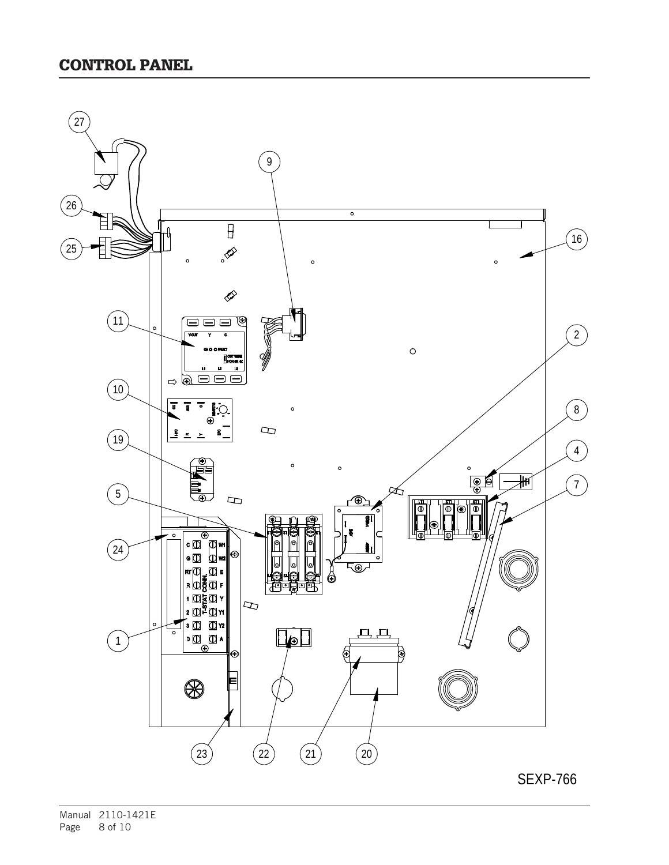

SEXP-766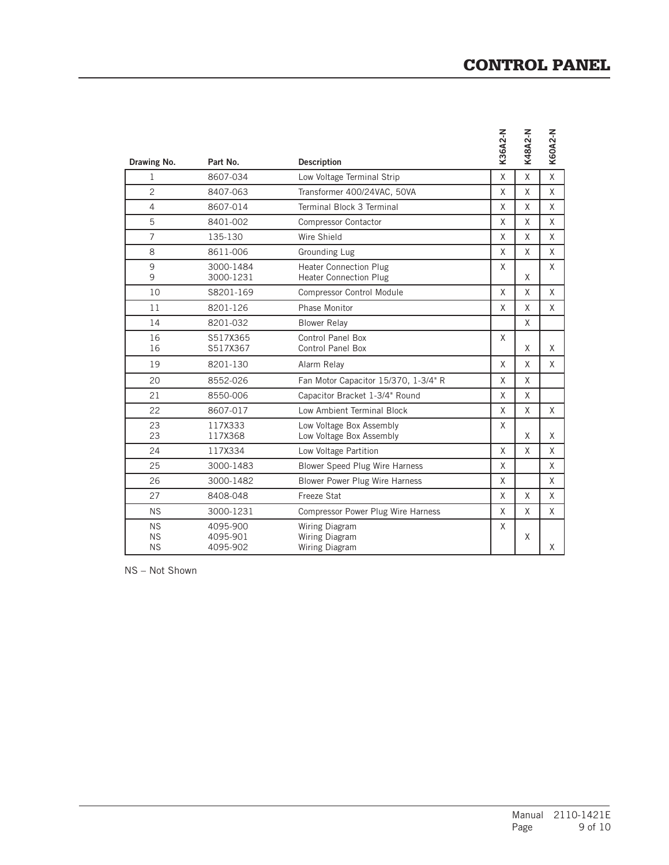## CONTROL PANEL

| Drawing No.                         | Part No.                         | <b>Description</b>                                             | K36A2-N | K48A2-N | <b>K60A2-N</b> |
|-------------------------------------|----------------------------------|----------------------------------------------------------------|---------|---------|----------------|
| 1                                   | 8607-034                         | Low Voltage Terminal Strip                                     | X       | Χ       | χ              |
| $\overline{c}$                      | 8407-063                         | Transformer 400/24VAC, 50VA                                    | X       | X       | X              |
| $\overline{4}$                      | 8607-014                         | Terminal Block 3 Terminal                                      | X       | Χ       | X              |
| 5                                   | 8401-002                         | <b>Compressor Contactor</b>                                    | $\sf X$ | X       | X              |
| $\overline{7}$                      | 135-130                          | Wire Shield                                                    | X       | Χ       | X              |
| 8                                   | 8611-006                         | <b>Grounding Lug</b>                                           | X       | X       | X              |
| 9<br>9                              | 3000-1484<br>3000-1231           | <b>Heater Connection Plug</b><br><b>Heater Connection Plug</b> | X       | Χ       | X              |
| 10                                  | S8201-169                        | <b>Compressor Control Module</b>                               | X       | X       | X              |
| 11                                  | 8201-126                         | Phase Monitor                                                  | X       | X       | X              |
| 14                                  | 8201-032                         | <b>Blower Relay</b>                                            |         | X       |                |
| 16<br>16                            | S517X365<br>S517X367             | Control Panel Box<br><b>Control Panel Box</b>                  | X       | X       | X              |
| 19                                  | 8201-130                         | Alarm Relay                                                    | X       | X       | X              |
| 20                                  | 8552-026                         | Fan Motor Capacitor 15/370, 1-3/4" R                           | X       | X       |                |
| 21                                  | 8550-006                         | Capacitor Bracket 1-3/4" Round                                 | X       | X       |                |
| 22                                  | 8607-017                         | Low Ambient Terminal Block                                     | X       | X       | X              |
| 23<br>23                            | 117X333<br>117X368               | Low Voltage Box Assembly<br>Low Voltage Box Assembly           | X       | X       | X              |
| 24                                  | 117X334                          | Low Voltage Partition                                          | X       | X       | X              |
| 25                                  | 3000-1483                        | Blower Speed Plug Wire Harness                                 | X       |         | X              |
| 26                                  | 3000-1482                        | Blower Power Plug Wire Harness                                 | X       |         | X              |
| 27                                  | 8408-048                         | Freeze Stat                                                    | X       | X       | X              |
| <b>NS</b>                           | 3000-1231                        | Compressor Power Plug Wire Harness                             | X       | X       | X              |
| <b>NS</b><br><b>NS</b><br><b>NS</b> | 4095-900<br>4095-901<br>4095-902 | Wiring Diagram<br>Wiring Diagram<br>Wiring Diagram             | X       | Χ       | χ              |